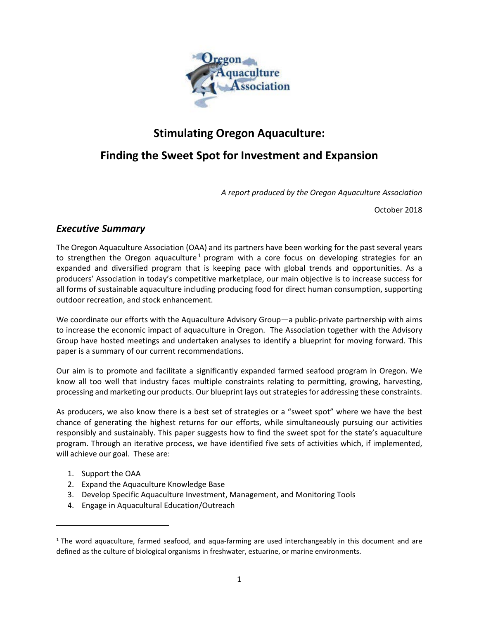

# **Stimulating Oregon Aquaculture:**

# **Finding the Sweet Spot for Investment and Expansion**

*A report produced by the Oregon Aquaculture Association*

October 2018

## *Executive Summary*

The Oregon Aquaculture Association (OAA) and its partners have been working for the past several years to strengthen the Oregon aquaculture<sup>[1](#page-0-0)</sup> program with a core focus on developing strategies for an expanded and diversified program that is keeping pace with global trends and opportunities. As a producers' Association in today's competitive marketplace, our main objective is to increase success for all forms of sustainable aquaculture including producing food for direct human consumption, supporting outdoor recreation, and stock enhancement.

We coordinate our efforts with the Aquaculture Advisory Group—a public-private partnership with aims to increase the economic impact of aquaculture in Oregon. The Association together with the Advisory Group have hosted meetings and undertaken analyses to identify a blueprint for moving forward. This paper is a summary of our current recommendations.

Our aim is to promote and facilitate a significantly expanded farmed seafood program in Oregon. We know all too well that industry faces multiple constraints relating to permitting, growing, harvesting, processing and marketing our products. Our blueprint lays out strategies for addressing these constraints.

As producers, we also know there is a best set of strategies or a "sweet spot" where we have the best chance of generating the highest returns for our efforts, while simultaneously pursuing our activities responsibly and sustainably. This paper suggests how to find the sweet spot for the state's aquaculture program. Through an iterative process, we have identified five sets of activities which, if implemented, will achieve our goal. These are:

1. Support the OAA

<span id="page-0-6"></span><span id="page-0-5"></span><span id="page-0-4"></span><span id="page-0-2"></span><span id="page-0-1"></span> $\overline{\phantom{a}}$ 

- 2. Expand the Aquaculture Knowledge Base
- 3. Develop Specific Aquaculture Investment, Management, and Monitoring Tools
- 4. Engage in Aquacultural Education/Outreach

<span id="page-0-3"></span><span id="page-0-0"></span> $1$  The word aquaculture, farmed seafood, and aqua-farming are used interchangeably in this document and are defined as the culture of biological organisms in freshwater, estuarine, or marine environments.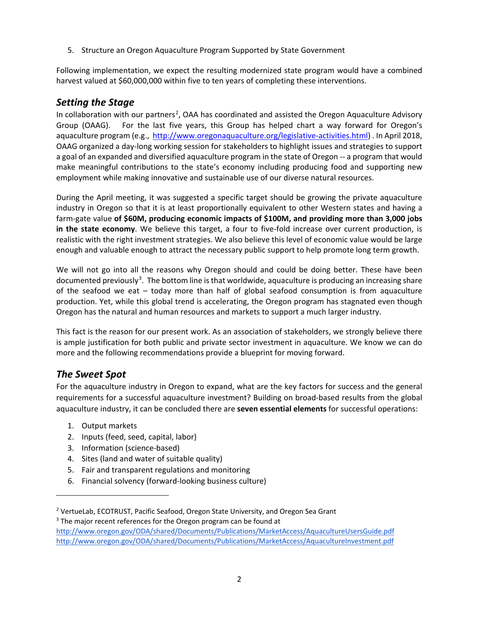5. Structure an Oregon Aquaculture Program Supported by State Government

Following implementation, we expect the resulting modernized state program would have a combined harvest valued at \$60,000,000 within five to ten years of completing these interventions.

## *Setting the Stage*

In collaboration with our partners<sup>[2](#page-0-1)</sup>, OAA has coordinated and assisted the Oregon Aquaculture Advisory Group (OAAG). For the last five years, this Group has helped chart a way forward for Oregon's aquaculture program (e.g., [http://www.oregonaquaculture.org/legislative-activities.html\)](http://www.oregonaquaculture.org/legislative-activities.html) . In April 2018, OAAG organized a day-long working session for stakeholders to highlight issues and strategies to support a goal of an expanded and diversified aquaculture program in the state of Oregon -- a program that would make meaningful contributions to the state's economy including producing food and supporting new employment while making innovative and sustainable use of our diverse natural resources.

During the April meeting, it was suggested a specific target should be growing the private aquaculture industry in Oregon so that it is at least proportionally equivalent to other Western states and having a farm-gate value **of \$60M, producing economic impacts of \$100M, and providing more than 3,000 jobs in the state economy**. We believe this target, a four to five-fold increase over current production, is realistic with the right investment strategies. We also believe this level of economic value would be large enough and valuable enough to attract the necessary public support to help promote long term growth.

We will not go into all the reasons why Oregon should and could be doing better. These have been documented previously<sup>[3](#page-0-2)</sup>. The bottom line is that worldwide, aquaculture is producing an increasing share of the seafood we eat – today more than half of global seafood consumption is from aquaculture production. Yet, while this global trend is accelerating, the Oregon program has stagnated even though Oregon has the natural and human resources and markets to support a much larger industry.

This fact is the reason for our present work. As an association of stakeholders, we strongly believe there is ample justification for both public and private sector investment in aquaculture. We know we can do more and the following recommendations provide a blueprint for moving forward.

## *The Sweet Spot*

 $\overline{a}$ 

For the aquaculture industry in Oregon to expand, what are the key factors for success and the general requirements for a successful aquaculture investment? Building on broad-based results from the global aquaculture industry, it can be concluded there are **seven essential elements** for successful operations:

- 1. Output markets
- 2. Inputs (feed, seed, capital, labor)
- 3. Information (science-based)
- 4. Sites (land and water of suitable quality)
- 5. Fair and transparent regulations and monitoring
- 6. Financial solvency (forward-looking business culture)

<sup>3</sup> The major recent references for the Oregon program can be found at

<sup>&</sup>lt;sup>2</sup> VertueLab, ECOTRUST, Pacific Seafood, Oregon State University, and Oregon Sea Grant

<http://www.oregon.gov/ODA/shared/Documents/Publications/MarketAccess/AquacultureUsersGuide.pdf> <http://www.oregon.gov/ODA/shared/Documents/Publications/MarketAccess/AquacultureInvestment.pdf>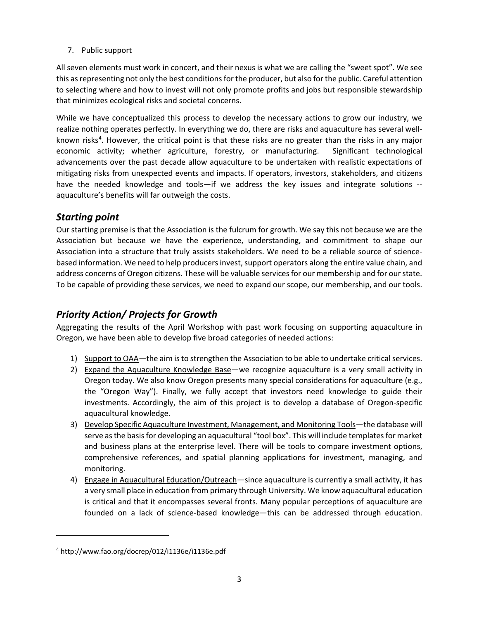7. Public support

All seven elements must work in concert, and their nexus is what we are calling the "sweet spot". We see this as representing not only the best conditions for the producer, but also for the public. Careful attention to selecting where and how to invest will not only promote profits and jobs but responsible stewardship that minimizes ecological risks and societal concerns.

While we have conceptualized this process to develop the necessary actions to grow our industry, we realize nothing operates perfectly. In everything we do, there are risks and aquaculture has several well-known risks<sup>[4](#page-0-3)</sup>. However, the critical point is that these risks are no greater than the risks in any major economic activity; whether agriculture, forestry, or manufacturing. Significant technological advancements over the past decade allow aquaculture to be undertaken with realistic expectations of mitigating risks from unexpected events and impacts. If operators, investors, stakeholders, and citizens have the needed knowledge and tools—if we address the key issues and integrate solutions - aquaculture's benefits will far outweigh the costs.

## *Starting point*

Our starting premise is that the Association is the fulcrum for growth. We say this not because we are the Association but because we have the experience, understanding, and commitment to shape our Association into a structure that truly assists stakeholders. We need to be a reliable source of sciencebased information. We need to help producers invest, support operators along the entire value chain, and address concerns of Oregon citizens. These will be valuable services for our membership and for our state. To be capable of providing these services, we need to expand our scope, our membership, and our tools.

## *Priority Action/ Projects for Growth*

Aggregating the results of the April Workshop with past work focusing on supporting aquaculture in Oregon, we have been able to develop five broad categories of needed actions:

- 1) Support to OAA—the aim is to strengthen the Association to be able to undertake critical services.
- 2) Expand the Aquaculture Knowledge Base—we recognize aquaculture is a very small activity in Oregon today. We also know Oregon presents many special considerations for aquaculture (e.g., the "Oregon Way"). Finally, we fully accept that investors need knowledge to guide their investments. Accordingly, the aim of this project is to develop a database of Oregon-specific aquacultural knowledge.
- 3) Develop Specific Aquaculture Investment, Management, and Monitoring Tools-the database will serve as the basis for developing an aquacultural "tool box". This will include templates for market and business plans at the enterprise level. There will be tools to compare investment options, comprehensive references, and spatial planning applications for investment, managing, and monitoring.
- 4) Engage in Aquacultural Education/Outreach—since aquaculture is currently a small activity, it has a very small place in education from primary through University. We know aquacultural education is critical and that it encompasses several fronts. Many popular perceptions of aquaculture are founded on a lack of science-based knowledge—this can be addressed through education.

 $\overline{\phantom{a}}$ 

<sup>4</sup> http://www.fao.org/docrep/012/i1136e/i1136e.pdf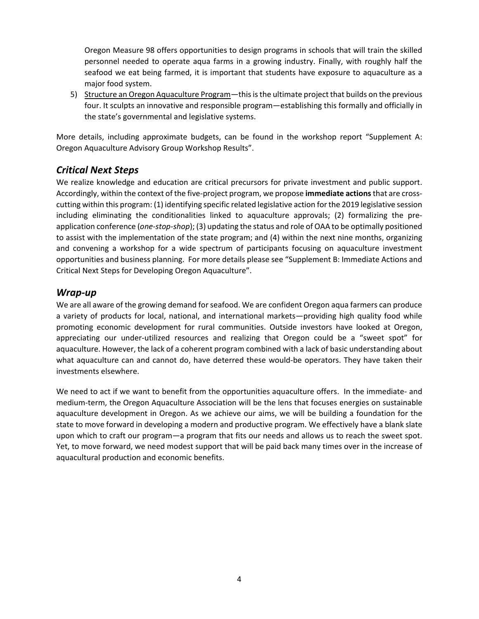Oregon Measure 98 offers opportunities to design programs in schools that will train the skilled personnel needed to operate aqua farms in a growing industry. Finally, with roughly half the seafood we eat being farmed, it is important that students have exposure to aquaculture as a major food system.

5) Structure an Oregon Aquaculture Program—this is the ultimate project that builds on the previous four. It sculpts an innovative and responsible program—establishing this formally and officially in the state's governmental and legislative systems.

More details, including approximate budgets, can be found in the workshop report "Supplement A: Oregon Aquaculture Advisory Group Workshop Results".

## *Critical Next Steps*

We realize knowledge and education are critical precursors for private investment and public support. Accordingly, within the context of the five-project program, we propose **immediate actions**that are crosscutting within this program: (1) identifying specific related legislative action for the 2019 legislative session including eliminating the conditionalities linked to aquaculture approvals; (2) formalizing the preapplication conference (*one-stop-shop*); (3) updating the status and role of OAA to be optimally positioned to assist with the implementation of the state program; and (4) within the next nine months, organizing and convening a workshop for a wide spectrum of participants focusing on aquaculture investment opportunities and business planning. For more details please see "Supplement B: Immediate Actions and Critical Next Steps for Developing Oregon Aquaculture".

## *Wrap-up*

We are all aware of the growing demand for seafood. We are confident Oregon aqua farmers can produce a variety of products for local, national, and international markets—providing high quality food while promoting economic development for rural communities. Outside investors have looked at Oregon, appreciating our under-utilized resources and realizing that Oregon could be a "sweet spot" for aquaculture. However, the lack of a coherent program combined with a lack of basic understanding about what aquaculture can and cannot do, have deterred these would-be operators. They have taken their investments elsewhere.

We need to act if we want to benefit from the opportunities aquaculture offers. In the immediate- and medium-term, the Oregon Aquaculture Association will be the lens that focuses energies on sustainable aquaculture development in Oregon. As we achieve our aims, we will be building a foundation for the state to move forward in developing a modern and productive program. We effectively have a blank slate upon which to craft our program—a program that fits our needs and allows us to reach the sweet spot. Yet, to move forward, we need modest support that will be paid back many times over in the increase of aquacultural production and economic benefits.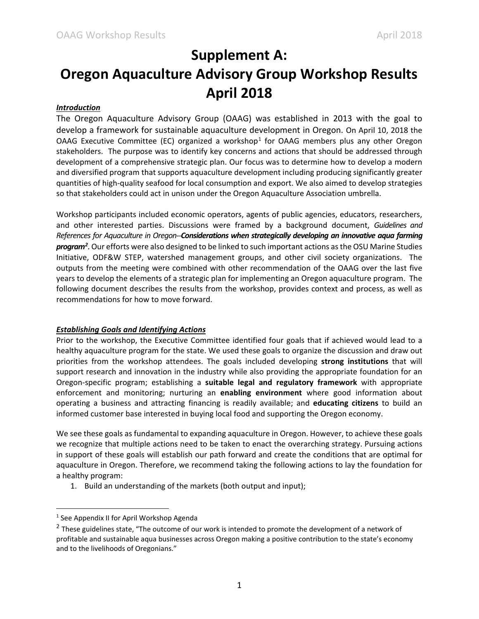# **Supplement A:**

# **Oregon Aquaculture Advisory Group Workshop Results April 2018**

## *Introduction*

The Oregon Aquaculture Advisory Group (OAAG) was established in 2013 with the goal to develop a framework for sustainable aquaculture development in Oregon. On April 10, 2018 the OAAG Executive Committee (EC) organized a workshop<sup>[1](#page-0-4)</sup> for OAAG members plus any other Oregon stakeholders. The purpose was to identify key concerns and actions that should be addressed through development of a comprehensive strategic plan. Our focus was to determine how to develop a modern and diversified program that supports aquaculture development including producing significantly greater quantities of high-quality seafood for local consumption and export. We also aimed to develop strategies so that stakeholders could act in unison under the Oregon Aquaculture Association umbrella.

Workshop participants included economic operators, agents of public agencies, educators, researchers, and other interested parties. Discussions were framed by a background document, *Guidelines and References for Aquaculture in Oregon--Considerations when strategically developing an innovative aqua farming program[2](#page-0-5) .*Our efforts were also designed to be linked to such important actions as the OSU Marine Studies Initiative, ODF&W STEP, watershed management groups, and other civil society organizations. The outputs from the meeting were combined with other recommendation of the OAAG over the last five years to develop the elements of a strategic plan for implementing an Oregon aquaculture program. The following document describes the results from the workshop, provides context and process, as well as recommendations for how to move forward.

## *Establishing Goals and Identifying Actions*

Prior to the workshop, the Executive Committee identified four goals that if achieved would lead to a healthy aquaculture program for the state. We used these goals to organize the discussion and draw out priorities from the workshop attendees. The goals included developing **strong institutions** that will support research and innovation in the industry while also providing the appropriate foundation for an Oregon-specific program; establishing a **suitable legal and regulatory framework** with appropriate enforcement and monitoring; nurturing an **enabling environment** where good information about operating a business and attracting financing is readily available; and **educating citizens** to build an informed customer base interested in buying local food and supporting the Oregon economy.

We see these goals as fundamental to expanding aquaculture in Oregon. However, to achieve these goals we recognize that multiple actions need to be taken to enact the overarching strategy. Pursuing actions in support of these goals will establish our path forward and create the conditions that are optimal for aquaculture in Oregon. Therefore, we recommend taking the following actions to lay the foundation for a healthy program:

1. Build an understanding of the markets (both output and input);

<sup>&</sup>lt;sup>1</sup> See Appendix II for April Workshop Agenda

<sup>&</sup>lt;sup>2</sup> These guidelines state, "The outcome of our work is intended to promote the development of a network of profitable and sustainable aqua businesses across Oregon making a positive contribution to the state's economy and to the livelihoods of Oregonians."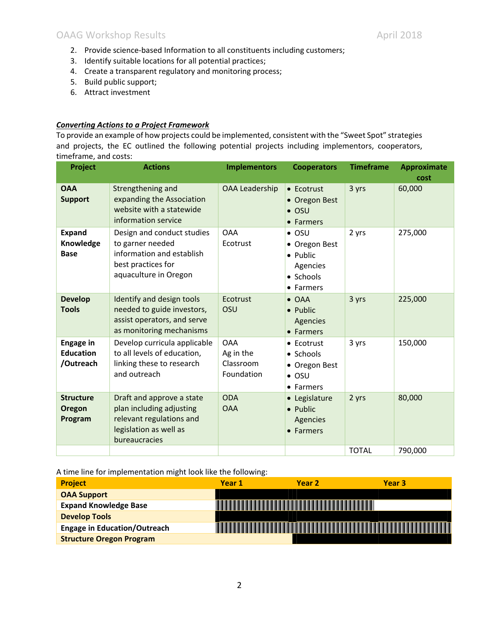- 2. Provide science-based Information to all constituents including customers;
- 3. Identify suitable locations for all potential practices;
- 4. Create a transparent regulatory and monitoring process;
- 5. Build public support;
- 6. Attract investment

## *Converting Actions to a Project Framework*

To provide an example of how projects could be implemented, consistent with the "Sweet Spot" strategies and projects, the EC outlined the following potential projects including implementors, cooperators, timeframe, and costs:

| Project                                           | <b>Actions</b>                                                                                                               | <b>Implementors</b>                                | <b>Cooperators</b>                                                               | <b>Timeframe</b> | <b>Approximate</b><br>cost |
|---------------------------------------------------|------------------------------------------------------------------------------------------------------------------------------|----------------------------------------------------|----------------------------------------------------------------------------------|------------------|----------------------------|
| <b>OAA</b><br><b>Support</b>                      | Strengthening and<br>expanding the Association<br>website with a statewide<br>information service                            | <b>OAA Leadership</b>                              | • Ecotrust<br>• Oregon Best<br>$\bullet$ OSU<br>• Farmers                        | 3 yrs            | 60,000                     |
| <b>Expand</b><br>Knowledge<br><b>Base</b>         | Design and conduct studies<br>to garner needed<br>information and establish<br>best practices for<br>aquaculture in Oregon   | <b>OAA</b><br>Ecotrust                             | $\bullet$ OSU<br>• Oregon Best<br>• Public<br>Agencies<br>• Schools<br>• Farmers | 2 yrs            | 275,000                    |
| <b>Develop</b><br><b>Tools</b>                    | Identify and design tools<br>needed to guide investors,<br>assist operators, and serve<br>as monitoring mechanisms           | Ecotrust<br>OSU                                    | $\bullet$ OAA<br>$\bullet$ Public<br>Agencies<br>• Farmers                       | 3 yrs            | 225,000                    |
| <b>Engage in</b><br><b>Education</b><br>/Outreach | Develop curricula applicable<br>to all levels of education,<br>linking these to research<br>and outreach                     | <b>OAA</b><br>Ag in the<br>Classroom<br>Foundation | • Ecotrust<br>• Schools<br>• Oregon Best<br>$\bullet$ OSU<br>• Farmers           | 3 yrs            | 150,000                    |
| <b>Structure</b><br>Oregon<br>Program             | Draft and approve a state<br>plan including adjusting<br>relevant regulations and<br>legislation as well as<br>bureaucracies | <b>ODA</b><br><b>OAA</b>                           | • Legislature<br>• Public<br>Agencies<br>• Farmers                               | 2 yrs            | 80,000                     |
|                                                   |                                                                                                                              |                                                    |                                                                                  | <b>TOTAL</b>     | 790,000                    |

A time line for implementation might look like the following:

| <b>Project</b>                      | Year 1 | Year <sub>2</sub> | Year <sub>3</sub> |
|-------------------------------------|--------|-------------------|-------------------|
| <b>OAA Support</b>                  |        |                   |                   |
| <b>Expand Knowledge Base</b>        |        |                   |                   |
| <b>Develop Tools</b>                |        |                   |                   |
| <b>Engage in Education/Outreach</b> |        |                   |                   |
| <b>Structure Oregon Program</b>     |        |                   |                   |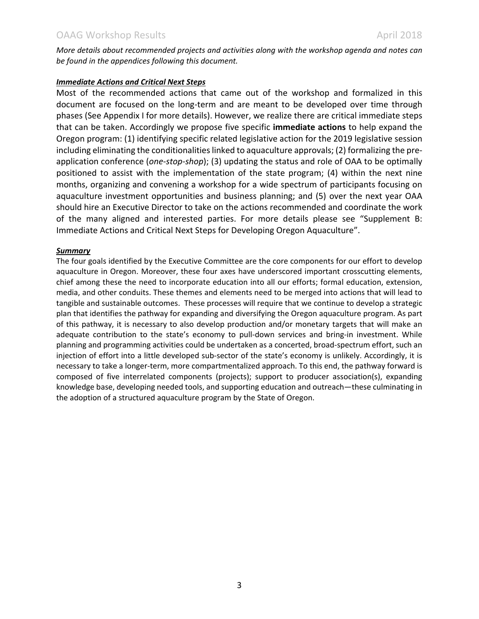*More details about recommended projects and activities along with the workshop agenda and notes can be found in the appendices following this document.* 

## *Immediate Actions and Critical Next Steps*

Most of the recommended actions that came out of the workshop and formalized in this document are focused on the long-term and are meant to be developed over time through phases (See Appendix I for more details). However, we realize there are critical immediate steps that can be taken. Accordingly we propose five specific **immediate actions** to help expand the Oregon program: (1) identifying specific related legislative action for the 2019 legislative session including eliminating the conditionalities linked to aquaculture approvals; (2) formalizing the preapplication conference (*one-stop-shop*); (3) updating the status and role of OAA to be optimally positioned to assist with the implementation of the state program; (4) within the next nine months, organizing and convening a workshop for a wide spectrum of participants focusing on aquaculture investment opportunities and business planning; and (5) over the next year OAA should hire an Executive Director to take on the actions recommended and coordinate the work of the many aligned and interested parties. For more details please see "Supplement B: Immediate Actions and Critical Next Steps for Developing Oregon Aquaculture".

## *Summary*

The four goals identified by the Executive Committee are the core components for our effort to develop aquaculture in Oregon. Moreover, these four axes have underscored important crosscutting elements, chief among these the need to incorporate education into all our efforts; formal education, extension, media, and other conduits. These themes and elements need to be merged into actions that will lead to tangible and sustainable outcomes. These processes will require that we continue to develop a strategic plan that identifies the pathway for expanding and diversifying the Oregon aquaculture program. As part of this pathway, it is necessary to also develop production and/or monetary targets that will make an adequate contribution to the state's economy to pull-down services and bring-in investment. While planning and programming activities could be undertaken as a concerted, broad-spectrum effort, such an injection of effort into a little developed sub-sector of the state's economy is unlikely. Accordingly, it is necessary to take a longer-term, more compartmentalized approach. To this end, the pathway forward is composed of five interrelated components (projects); support to producer association(s), expanding knowledge base, developing needed tools, and supporting education and outreach—these culminating in the adoption of a structured aquaculture program by the State of Oregon.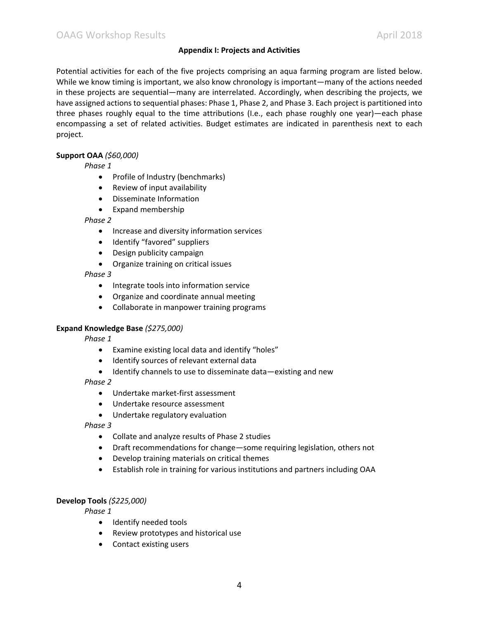## **Appendix I: Projects and Activities**

Potential activities for each of the five projects comprising an aqua farming program are listed below. While we know timing is important, we also know chronology is important—many of the actions needed in these projects are sequential—many are interrelated. Accordingly, when describing the projects, we have assigned actions to sequential phases: Phase 1, Phase 2, and Phase 3. Each project is partitioned into three phases roughly equal to the time attributions (I.e., each phase roughly one year)—each phase encompassing a set of related activities. Budget estimates are indicated in parenthesis next to each project.

## **Support OAA** *(\$60,000)*

*Phase 1*

- Profile of Industry (benchmarks)
- $\bullet$  Review of input availability
- Disseminate Information
- Expand membership

#### *Phase 2*

- **•** Increase and diversity information services
- Identify "favored" suppliers
- Design publicity campaign
- Organize training on critical issues

#### *Phase 3*

- Integrate tools into information service
- Organize and coordinate annual meeting
- Collaborate in manpower training programs

## **Expand Knowledge Base** *(\$275,000)*

*Phase 1*

- Examine existing local data and identify "holes"
- Identify sources of relevant external data
- Identify channels to use to disseminate data—existing and new

## *Phase 2*

- Undertake market-first assessment
- Undertake resource assessment
- Undertake regulatory evaluation

## *Phase 3*

- Collate and analyze results of Phase 2 studies
- Draft recommendations for change—some requiring legislation, others not
- Develop training materials on critical themes
- Establish role in training for various institutions and partners including OAA

## **Develop Tools** *(\$225,000)*

*Phase 1*

- Identify needed tools
- Review prototypes and historical use
- Contact existing users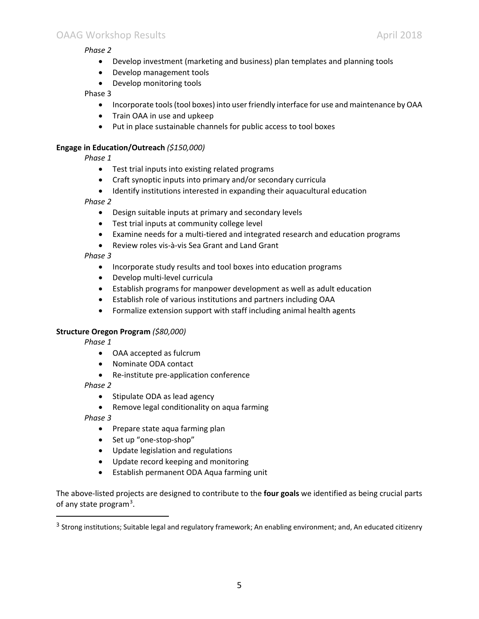## OAAG Workshop Results April 2018

## *Phase 2*

- Develop investment (marketing and business) plan templates and planning tools
- Develop management tools
- Develop monitoring tools

#### Phase 3

- Incorporate tools (tool boxes) into user friendly interface for use and maintenance by OAA
- $\bullet$  Train OAA in use and upkeep
- Put in place sustainable channels for public access to tool boxes

## **Engage in Education/Outreach** *(\$150,000)*

*Phase 1*

- $\bullet$  Test trial inputs into existing related programs
- Craft synoptic inputs into primary and/or secondary curricula
- Identify institutions interested in expanding their aquacultural education

## *Phase 2*

- Design suitable inputs at primary and secondary levels
- Test trial inputs at community college level
- Examine needs for a multi-tiered and integrated research and education programs
- Review roles vis-à-vis Sea Grant and Land Grant

## *Phase 3*

- Incorporate study results and tool boxes into education programs
- Develop multi-level curricula
- Establish programs for manpower development as well as adult education
- Establish role of various institutions and partners including OAA
- Formalize extension support with staff including animal health agents

## **Structure Oregon Program** *(\$80,000)*

*Phase 1*

- OAA accepted as fulcrum
- Nominate ODA contact
- Re-institute pre-application conference

## *Phase 2*

- Stipulate ODA as lead agency
- Remove legal conditionality on aqua farming

*Phase 3*

- Prepare state aqua farming plan
- Set up "one-stop-shop"
- Update legislation and regulations
- Update record keeping and monitoring
- **•** Establish permanent ODA Aqua farming unit

The above-listed projects are designed to contribute to the **four goals** we identified as being crucial parts of any state program<sup>[3](#page-0-6)</sup>.

<sup>&</sup>lt;sup>3</sup> Strong institutions; Suitable legal and regulatory framework; An enabling environment; and, An educated citizenry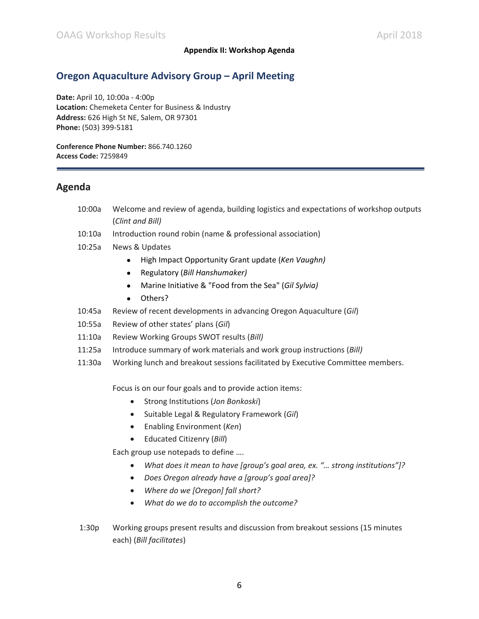## **Appendix II: Workshop Agenda**

## **Oregon Aquaculture Advisory Group – April Meeting**

**Date:** April 10, 10:00a - 4:00p **Location:** Chemeketa Center for Business & Industry **Address:** 626 High St NE, Salem, OR 97301 **Phone:** (503) 399-5181

**Conference Phone Number:** 866.740.1260 **Access Code:** 7259849

## **Agenda**

- 10:00a Welcome and review of agenda, building logistics and expectations of workshop outputs (*Clint and Bill)*
- 10:10a Introduction round robin (name & professional association)
- 10:25a News & Updates
	- x High Impact Opportunity Grant update (*Ken Vaughn)*
	- x Regulatory (*Bill Hanshumaker)*
	- x Marine Initiative & "Food from the Sea" (*Gil Sylvia)*
	- Others?
- 10:45a Review of recent developments in advancing Oregon Aquaculture (*Gil*)
- 10:55a Review of other states' plans (*Gil*)
- 11:10a Review Working Groups SWOT results (*Bill)*
- 11:25a Introduce summary of work materials and work group instructions (*Bill)*
- 11:30a Working lunch and breakout sessions facilitated by Executive Committee members.

Focus is on our four goals and to provide action items:

- **•** Strong Institutions (*Jon Bonkoski*)
- x Suitable Legal & Regulatory Framework (*Gil*)
- **•** Enabling Environment (*Ken*)
- x Educated Citizenry (*Bill*)

Each group use notepads to define ….

- x *What does it mean to have [group's goal area, ex. "… strong institutions"]?*
- x *Does Oregon already have a [group's goal area]?*
- x *Where do we [Oregon] fall short?*
- x *What do we do to accomplish the outcome?*
- 1:30p Working groups present results and discussion from breakout sessions (15 minutes each) (*Bill facilitates*)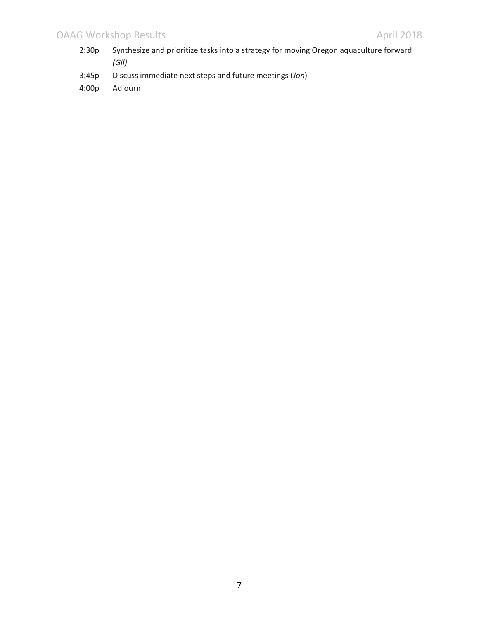- 2:30p Synthesize and prioritize tasks into a strategy for moving Oregon aquaculture forward *(Gil)*
- 3:45p Discuss immediate next steps and future meetings (*Jon*)
- 4:00p Adjourn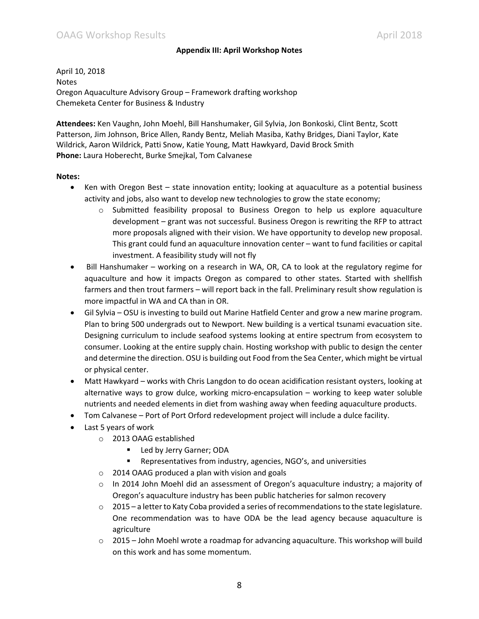## **Appendix III: April Workshop Notes**

April 10, 2018 Notes Oregon Aquaculture Advisory Group – Framework drafting workshop Chemeketa Center for Business & Industry

**Attendees:** Ken Vaughn, John Moehl, Bill Hanshumaker, Gil Sylvia, Jon Bonkoski, Clint Bentz, Scott Patterson, Jim Johnson, Brice Allen, Randy Bentz, Meliah Masiba, Kathy Bridges, Diani Taylor, Kate Wildrick, Aaron Wildrick, Patti Snow, Katie Young, Matt Hawkyard, David Brock Smith **Phone:** Laura Hoberecht, Burke Smejkal, Tom Calvanese

#### **Notes:**

- Ken with Oregon Best state innovation entity; looking at aquaculture as a potential business activity and jobs, also want to develop new technologies to grow the state economy;
	- o Submitted feasibility proposal to Business Oregon to help us explore aquaculture development – grant was not successful. Business Oregon is rewriting the RFP to attract more proposals aligned with their vision. We have opportunity to develop new proposal. This grant could fund an aquaculture innovation center – want to fund facilities or capital investment. A feasibility study will not fly
- Bill Hanshumaker working on a research in WA, OR, CA to look at the regulatory regime for aquaculture and how it impacts Oregon as compared to other states. Started with shellfish farmers and then trout farmers – will report back in the fall. Preliminary result show regulation is more impactful in WA and CA than in OR.
- Gil Sylvia OSU is investing to build out Marine Hatfield Center and grow a new marine program. Plan to bring 500 undergrads out to Newport. New building is a vertical tsunami evacuation site. Designing curriculum to include seafood systems looking at entire spectrum from ecosystem to consumer. Looking at the entire supply chain. Hosting workshop with public to design the center and determine the direction. OSU is building out Food from the Sea Center, which might be virtual or physical center.
- Matt Hawkyard works with Chris Langdon to do ocean acidification resistant oysters, looking at alternative ways to grow dulce, working micro-encapsulation – working to keep water soluble nutrients and needed elements in diet from washing away when feeding aquaculture products.
- Tom Calvanese Port of Port Orford redevelopment project will include a dulce facility.
- $\bullet$  Last 5 years of work
	- o 2013 OAAG established
		- **Led by Jerry Garner; ODA**
		- Representatives from industry, agencies, NGO's, and universities
	- o 2014 OAAG produced a plan with vision and goals
	- $\circ$  In 2014 John Moehl did an assessment of Oregon's aquaculture industry; a majority of Oregon's aquaculture industry has been public hatcheries for salmon recovery
	- $\circ$  2015 a letter to Katy Coba provided a series of recommendations to the state legislature. One recommendation was to have ODA be the lead agency because aquaculture is agriculture
	- $\circ$  2015 John Moehl wrote a roadmap for advancing aquaculture. This workshop will build on this work and has some momentum.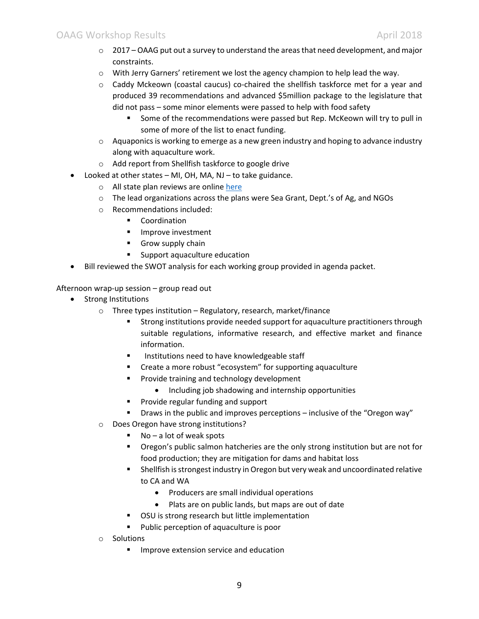- $\circ$  2017 OAAG put out a survey to understand the areas that need development, and major constraints.
- o With Jerry Garners' retirement we lost the agency champion to help lead the way.
- $\circ$  Caddy Mckeown (coastal caucus) co-chaired the shellfish taskforce met for a year and produced 39 recommendations and advanced \$5million package to the legislature that did not pass – some minor elements were passed to help with food safety
	- Some of the recommendations were passed but Rep. McKeown will try to pull in some of more of the list to enact funding.
- $\circ$  Aquaponics is working to emerge as a new green industry and hoping to advance industry along with aquaculture work.
- o Add report from Shellfish taskforce to google drive
- Looked at other states MI, OH, MA, NJ to take guidance.
	- o All state plan reviews are online [here](https://drive.google.com/open?id=1eUY9LqCqV26NNBatdRR26BOhl3ntD_f8)
	- $\circ$  The lead organizations across the plans were Sea Grant, Dept.'s of Ag, and NGOs
	- o Recommendations included:
		- **•** Coordination
		- **Improve investment**
		- **Grow supply chain**
		- Support aquaculture education
- Bill reviewed the SWOT analysis for each working group provided in agenda packet.

Afternoon wrap-up session – group read out

- Strong Institutions
	- $\circ$  Three types institution Regulatory, research, market/finance
		- **Strong institutions provide needed support for aquaculture practitioners through** suitable regulations, informative research, and effective market and finance information.
		- Institutions need to have knowledgeable staff
		- Create a more robust "ecosystem" for supporting aquaculture
		- **Provide training and technology development** 
			- Including job shadowing and internship opportunities
		- **Provide regular funding and support**
		- Draws in the public and improves perceptions inclusive of the "Oregon way"
	- o Does Oregon have strong institutions?
		- $\blacksquare$  No a lot of weak spots
		- Oregon's public salmon hatcheries are the only strong institution but are not for food production; they are mitigation for dams and habitat loss
		- Shellfish is strongest industry in Oregon but very weak and uncoordinated relative to CA and WA
			- Producers are small individual operations
			- Plats are on public lands, but maps are out of date
		- **OSU** is strong research but little implementation
		- **Public perception of aquaculture is poor**
	- o Solutions
		- **IMPROVE EXTENSION SERVICE AND EDUCATION**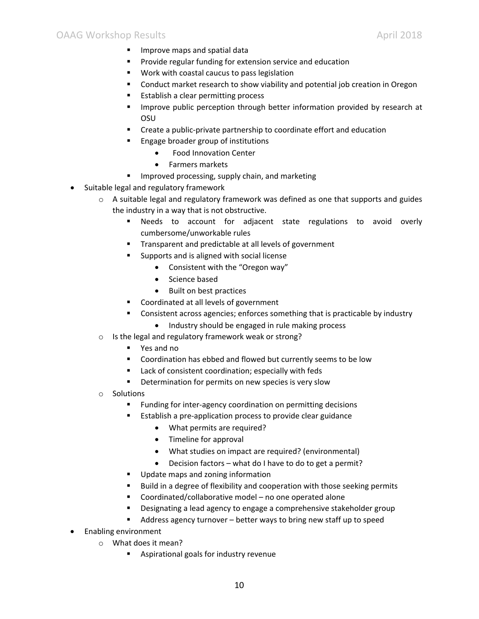- **IMPROVE MADE SHOW IN SPATISH CONCRETE**
- **Provide regular funding for extension service and education**
- **Work with coastal caucus to pass legislation**
- **EXEDENT** Conduct market research to show viability and potential job creation in Oregon
- **Establish a clear permitting process**
- **IMPROVE PUBLIC PERCEPTION THROUGH DETECT INCOCOLD FOR INCOCOLD FIGURE 1** OSU
- Create a public-private partnership to coordinate effort and education
- **Engage broader group of institutions** 
	- Food Innovation Center
	- Farmers markets
- **IMPROVED PROCESSING, SUPPLY Chain, and marketing**
- Suitable legal and regulatory framework
	- $\circ$  A suitable legal and regulatory framework was defined as one that supports and guides the industry in a way that is not obstructive.
		- Needs to account for adjacent state regulations to avoid overly cumbersome/unworkable rules
		- **Transparent and predictable at all levels of government**
		- **Supports and is aligned with social license** 
			- Consistent with the "Oregon way"
			- Science based
			- Built on best practices
		- Coordinated at all levels of government
		- **EXP** Consistent across agencies; enforces something that is practicable by industry
			- Industry should be engaged in rule making process
	- o Is the legal and regulatory framework weak or strong?
		- Yes and no
		- **EXECOORDINATION COORDINATION** Coordination has ebbed and flowed but currently seems to be low
		- Lack of consistent coordination; especially with feds
		- **•** Determination for permits on new species is very slow
	- o Solutions
		- **Funding for inter-agency coordination on permitting decisions**
		- Establish a pre-application process to provide clear guidance
			- What permits are required?
			- $\bullet$  Timeline for approval
			- What studies on impact are required? (environmental)
			- $\bullet$  Decision factors what do I have to do to get a permit?
		- **Update maps and zoning information**
		- **Build in a degree of flexibility and cooperation with those seeking permits**
		- Coordinated/collaborative model no one operated alone
		- Designating a lead agency to engage a comprehensive stakeholder group
		- Address agency turnover better ways to bring new staff up to speed
- Enabling environment
	- o What does it mean?
		- **Aspirational goals for industry revenue**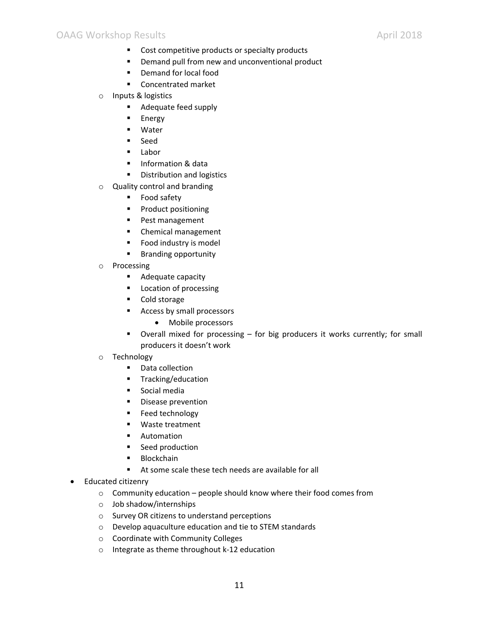- Cost competitive products or specialty products
- **P** Demand pull from new and unconventional product
- **•** Demand for local food
- Concentrated market
- o Inputs & logistics
	- **Adequate feed supply**
	- **Energy**
	- Water
	- **Seed**
	- **Labor**
	- **Information & data**
	- **•** Distribution and logistics
- o Quality control and branding
	- **Food safety**
	- **Product positioning**
	- **Pest management**
	- **EXEC** Chemical management
	- **Food industry is model**
	- **Branding opportunity**
- o Processing
	- **Adequate capacity**
	- **Location of processing**
	- Cold storage
	- **Access by small processors** 
		- Mobile processors
	- Overall mixed for processing for big producers it works currently; for small producers it doesn't work
- o Technology
	- Data collection
	- **Tracking/education**
	- **Social media**
	- **Disease prevention**
	- **Feed technology**
	- Waste treatment
	- **Automation**
	- **Seed production**
	- **Blockchain**
	- At some scale these tech needs are available for all
- Educated citizenry
	- $\circ$  Community education people should know where their food comes from
	- o Job shadow/internships
	- o Survey OR citizens to understand perceptions
	- o Develop aquaculture education and tie to STEM standards
	- o Coordinate with Community Colleges
	- o Integrate as theme throughout k-12 education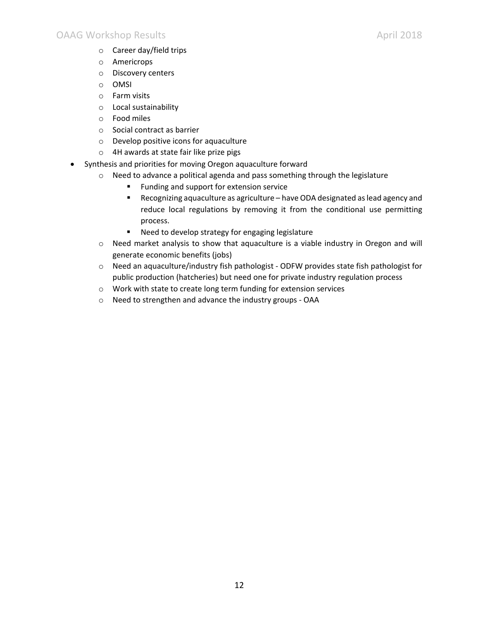- o Career day/field trips
- o Americrops
- o Discovery centers
- o OMSI
- o Farm visits
- o Local sustainability
- o Food miles
- o Social contract as barrier
- o Develop positive icons for aquaculture
- o 4H awards at state fair like prize pigs
- Synthesis and priorities for moving Oregon aquaculture forward
	- o Need to advance a political agenda and pass something through the legislature
		- **Funding and support for extension service**
		- Recognizing aquaculture as agriculture have ODA designated as lead agency and reduce local regulations by removing it from the conditional use permitting process.
		- Need to develop strategy for engaging legislature
		- o Need market analysis to show that aquaculture is a viable industry in Oregon and will generate economic benefits (jobs)
		- o Need an aquaculture/industry fish pathologist ODFW provides state fish pathologist for public production (hatcheries) but need one for private industry regulation process
		- o Work with state to create long term funding for extension services
		- o Need to strengthen and advance the industry groups OAA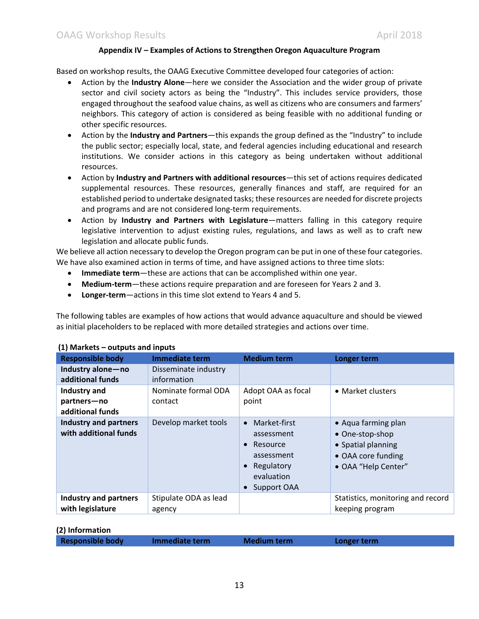#### **Appendix IV – Examples of Actions to Strengthen Oregon Aquaculture Program**

Based on workshop results, the OAAG Executive Committee developed four categories of action:

- x Action by the **Industry Alone**—here we consider the Association and the wider group of private sector and civil society actors as being the "Industry". This includes service providers, those engaged throughout the seafood value chains, as well as citizens who are consumers and farmers' neighbors. This category of action is considered as being feasible with no additional funding or other specific resources.
- x Action by the **Industry and Partners**—this expands the group defined as the "Industry" to include the public sector; especially local, state, and federal agencies including educational and research institutions. We consider actions in this category as being undertaken without additional resources.
- x Action by **Industry and Partners with additional resources**—this set of actions requires dedicated supplemental resources. These resources, generally finances and staff, are required for an established period to undertake designated tasks; these resources are needed for discrete projects and programs and are not considered long-term requirements.
- **•** Action by **Industry and Partners with Legislature**—matters falling in this category require legislative intervention to adjust existing rules, regulations, and laws as well as to craft new legislation and allocate public funds.

We believe all action necessary to develop the Oregon program can be put in one of these four categories. We have also examined action in terms of time, and have assigned actions to three time slots:

- x **Immediate term**—these are actions that can be accomplished within one year.
- x **Medium-term**—these actions require preparation and are foreseen for Years 2 and 3.
- **Longer-term**—actions in this time slot extend to Years 4 and 5.

The following tables are examples of how actions that would advance aquaculture and should be viewed as initial placeholders to be replaced with more detailed strategies and actions over time.

| <b>Responsible body</b>                               | <b>Immediate term</b>           | <b>Medium term</b>                                                                                                                                  | Longer term                                                                                               |
|-------------------------------------------------------|---------------------------------|-----------------------------------------------------------------------------------------------------------------------------------------------------|-----------------------------------------------------------------------------------------------------------|
| Industry alone-no<br>additional funds                 | Disseminate industry            |                                                                                                                                                     |                                                                                                           |
|                                                       | information                     |                                                                                                                                                     |                                                                                                           |
| Industry and                                          | Nominate formal ODA             | Adopt OAA as focal                                                                                                                                  | • Market clusters                                                                                         |
| partners-no                                           | contact                         | point                                                                                                                                               |                                                                                                           |
| additional funds                                      |                                 |                                                                                                                                                     |                                                                                                           |
| <b>Industry and partners</b><br>with additional funds | Develop market tools            | Market-first<br>$\bullet$<br>assessment<br>Resource<br>$\bullet$<br>assessment<br>Regulatory<br>$\bullet$<br>evaluation<br>Support OAA<br>$\bullet$ | • Aqua farming plan<br>• One-stop-shop<br>• Spatial planning<br>• OAA core funding<br>• OAA "Help Center" |
| <b>Industry and partners</b><br>with legislature      | Stipulate ODA as lead<br>agency |                                                                                                                                                     | Statistics, monitoring and record<br>keeping program                                                      |

#### **(1) Markets – outputs and inputs**

| (2) Information         |                |                    |             |
|-------------------------|----------------|--------------------|-------------|
| <b>Responsible body</b> | Immediate term | <b>Medium term</b> | Longer term |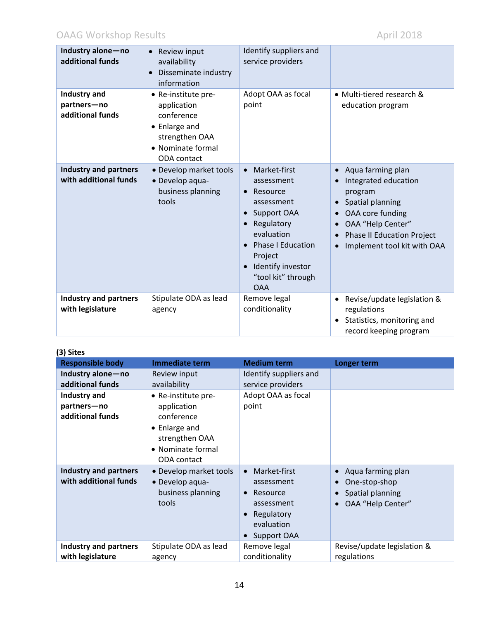# OAAG Workshop Results April 2018

| Industry alone-no<br>additional funds                 | Review input<br>$\bullet$<br>availability<br>Disseminate industry<br>information                                        | Identify suppliers and<br>service providers                                                                                                                                                                                            |                                                                                                                                                                                                                 |
|-------------------------------------------------------|-------------------------------------------------------------------------------------------------------------------------|----------------------------------------------------------------------------------------------------------------------------------------------------------------------------------------------------------------------------------------|-----------------------------------------------------------------------------------------------------------------------------------------------------------------------------------------------------------------|
| Industry and<br>partners-no<br>additional funds       | • Re-institute pre-<br>application<br>conference<br>• Enlarge and<br>strengthen OAA<br>• Nominate formal<br>ODA contact | Adopt OAA as focal<br>point                                                                                                                                                                                                            | • Multi-tiered research &<br>education program                                                                                                                                                                  |
| <b>Industry and partners</b><br>with additional funds | · Develop market tools<br>· Develop aqua-<br>business planning<br>tools                                                 | Market-first<br>$\bullet$<br>assessment<br>Resource<br>assessment<br>Support OAA<br>Regulatory<br>$\bullet$<br>evaluation<br><b>Phase I Education</b><br>$\bullet$<br>Project<br>Identify investor<br>"tool kit" through<br><b>OAA</b> | Aqua farming plan<br>$\bullet$<br>Integrated education<br>program<br>Spatial planning<br>OAA core funding<br>$\bullet$<br>OAA "Help Center"<br><b>Phase II Education Project</b><br>Implement tool kit with OAA |
| <b>Industry and partners</b><br>with legislature      | Stipulate ODA as lead<br>agency                                                                                         | Remove legal<br>conditionality                                                                                                                                                                                                         | Revise/update legislation &<br>regulations<br>Statistics, monitoring and<br>record keeping program                                                                                                              |

## **(3) Sites**

| しり しいしつ                                               |                                                                                                                         |                                                                                                                                                     |                                                                                                                    |
|-------------------------------------------------------|-------------------------------------------------------------------------------------------------------------------------|-----------------------------------------------------------------------------------------------------------------------------------------------------|--------------------------------------------------------------------------------------------------------------------|
| <b>Responsible body</b>                               | <b>Immediate term</b>                                                                                                   | <b>Medium term</b>                                                                                                                                  | <b>Longer term</b>                                                                                                 |
| Industry alone-no                                     | Review input                                                                                                            | Identify suppliers and                                                                                                                              |                                                                                                                    |
| additional funds                                      | availability                                                                                                            | service providers                                                                                                                                   |                                                                                                                    |
| Industry and<br>partners-no<br>additional funds       | • Re-institute pre-<br>application<br>conference<br>• Enlarge and<br>strengthen OAA<br>• Nominate formal<br>ODA contact | Adopt OAA as focal<br>point                                                                                                                         |                                                                                                                    |
| <b>Industry and partners</b><br>with additional funds | • Develop market tools<br>• Develop aqua-<br>business planning<br>tools                                                 | Market-first<br>$\bullet$<br>assessment<br>Resource<br>$\bullet$<br>assessment<br>Regulatory<br>$\bullet$<br>evaluation<br>Support OAA<br>$\bullet$ | Aqua farming plan<br>$\bullet$<br>One-stop-shop<br>$\bullet$<br>Spatial planning<br>$\bullet$<br>OAA "Help Center" |
| <b>Industry and partners</b>                          | Stipulate ODA as lead                                                                                                   | Remove legal                                                                                                                                        | Revise/update legislation &                                                                                        |
| with legislature                                      | agency                                                                                                                  | conditionality                                                                                                                                      | regulations                                                                                                        |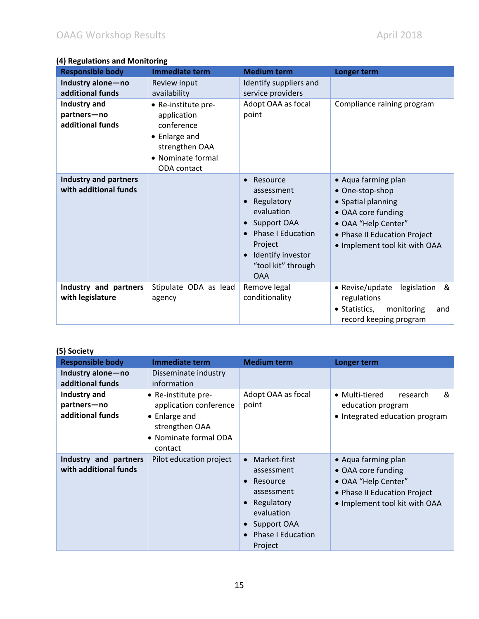## **(4) Regulations and Monitoring**

| <b>Responsible body</b>                               | <b>Immediate term</b>                                                                                                   | <b>Medium term</b>                                                                                                                                                                          | Longer term                                                                                                                                                                |
|-------------------------------------------------------|-------------------------------------------------------------------------------------------------------------------------|---------------------------------------------------------------------------------------------------------------------------------------------------------------------------------------------|----------------------------------------------------------------------------------------------------------------------------------------------------------------------------|
| Industry alone-no<br>additional funds                 | Review input<br>availability                                                                                            | Identify suppliers and<br>service providers                                                                                                                                                 |                                                                                                                                                                            |
| Industry and<br>partners-no<br>additional funds       | • Re-institute pre-<br>application<br>conference<br>• Enlarge and<br>strengthen OAA<br>• Nominate formal<br>ODA contact | Adopt OAA as focal<br>point                                                                                                                                                                 | Compliance raining program                                                                                                                                                 |
| <b>Industry and partners</b><br>with additional funds |                                                                                                                         | Resource<br>$\bullet$<br>assessment<br>Regulatory<br>evaluation<br>Support OAA<br><b>Phase I Education</b><br>$\bullet$<br>Project<br>Identify investor<br>"tool kit" through<br><b>OAA</b> | • Aqua farming plan<br>• One-stop-shop<br>• Spatial planning<br>• OAA core funding<br>• OAA "Help Center"<br>• Phase II Education Project<br>• Implement tool kit with OAA |
| Industry and partners<br>with legislature             | Stipulate ODA as lead<br>agency                                                                                         | Remove legal<br>conditionality                                                                                                                                                              | • Revise/update<br>legislation<br>&<br>regulations<br>• Statistics,<br>monitoring<br>and<br>record keeping program                                                         |

| (5) Society                                     |                                                                                                                            |                                                                                                                                                                               |                                                                                                                                   |
|-------------------------------------------------|----------------------------------------------------------------------------------------------------------------------------|-------------------------------------------------------------------------------------------------------------------------------------------------------------------------------|-----------------------------------------------------------------------------------------------------------------------------------|
| <b>Responsible body</b>                         | Immediate term                                                                                                             | <b>Medium term</b>                                                                                                                                                            | Longer term                                                                                                                       |
| Industry alone-no<br>additional funds           | Disseminate industry<br>information                                                                                        |                                                                                                                                                                               |                                                                                                                                   |
| Industry and<br>partners-no<br>additional funds | • Re-institute pre-<br>application conference<br>$\bullet$ Enlarge and<br>strengthen OAA<br>Nominate formal ODA<br>contact | Adopt OAA as focal<br>point                                                                                                                                                   | • Multi-tiered<br>&<br>research<br>education program<br>• Integrated education program                                            |
| Industry and partners<br>with additional funds  | Pilot education project                                                                                                    | Market-first<br>$\bullet$<br>assessment<br>Resource<br>$\bullet$<br>assessment<br>Regulatory<br>evaluation<br>Support OAA<br><b>Phase I Education</b><br>$\bullet$<br>Project | • Aqua farming plan<br>• OAA core funding<br>• OAA "Help Center"<br>• Phase II Education Project<br>• Implement tool kit with OAA |